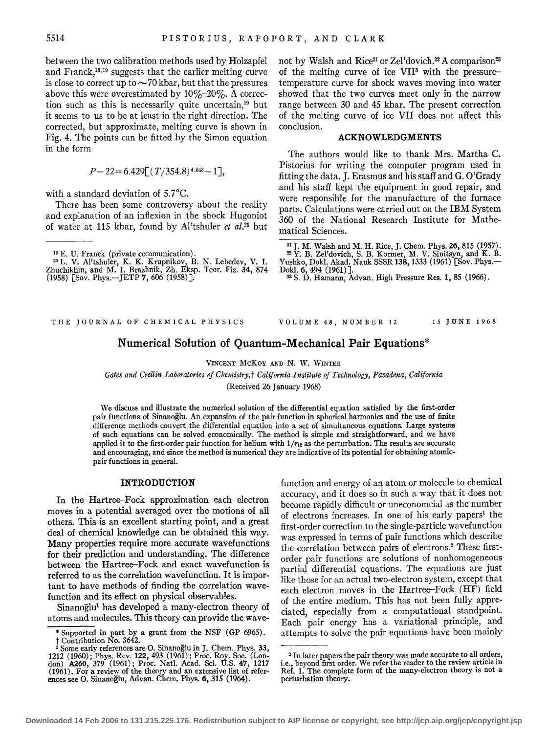between the two calibration methods used by Holzapfel and Franck,<sup>18,19</sup> suggests that the earlier melting curve is close to correct up to  $\sim$ 70 kbar, but that the pressures above this were overestimated by  $10\%$ - $20\%$ . A correction such as this is necessarily quite uncertain,<sup>19</sup> but it seems to us to be at least in the right direction. The corrected, but approximate, melting curve is shown in Fig. 4. The points can be fitted by the Simon equation in the form

$$
P-22\!=\!6.429\!\big[\!\left(\,T/354.8\right)^{4.543}\!-\!1\big]\!\big],
$$

with a standard deviation of 5.7°C.

There has been some controversy about the reality and explanation of an inflexion in the shock Hugoniot of water at 115 kbar, found by Al'tshuler *et al.20* but

19 E. U. Franck (private communication).

2o L. V. Al'tshuler, K. K. Krupnikov, B. N. Lebedev, V. I. Zhuchikhin, and M. I. Brazhnik, Zh. Eksp. Teor. Fiz. **34,** 874<br>(1958) [Sov. Phys.—JETP **7,** 606 (1958)]. not by Walsh and Rice<sup>21</sup> or Zel'dovich.<sup>22</sup> A comparison<sup>23</sup> of the melting curve of ice VIP with the pressuretemperature curve for shock waves moving into water showed that the two curves meet only in the narrow range between 30 and 45 kbar. The present correction of the melting curve of ice VII does not affect this conclusion.

# ACKNOWLEDGMENTS

The authors would like to thank Mrs. Martha C. Pistorius for writing the computer program used in fitting the data. J. Erasmus and his staff and G. O'Grady and his staff kept the equipment in good repair, and were responsible for the manufacture of the furnace parts. Calculations were carried out on the IBM System 360 of the National Research Institute for Mathematical Sciences.

<sup>21</sup> J. M. Walsh and M. H. Rice, J. Chem. Phys. **26,** 815 (1957).  $22$  Y. B. Zel'dovich, S. B. Kormer, M. V. Sinitsyn, and K. B. Yushko, Dokl. Akad. Nauk SSSR 138, 1333 (1961) [Sov. Phys.-Dokl. 6, 494 (1961)].<br>23 S. D. Hamann, Advan. High Pressure Res. 1, 85 (1966).

#### THE JOURNAL OF CHEMICAL PHYSICS

VOLUME 48, NUMBER 12 15 JUNE 1968

# Numerical Solution of Quantum-Mechanical Pair Equations\*

VINCENT McKoY AND N. W. WINTER

*Gates and Crellin Laboratories of Chemistry,* t *California Institute of Technology, Pasadena, California*  (Received 26 January 1968)

We discuss and illustrate the numerical solution of the differential equation satisfied by the first-order pair functions of Sinanoglu. An expansion of the pair function in spherical harmonics and the use of finite difference methods convert the differential equation into a set of simultaneous equations. Large systems of such equations can be solved economically. The method is simple and straightforward, and we have applied it to the first-order pair function for helium with  $1/r_{12}$  as the perturbation. The results are accurate and encouraging, and since the method is numerical they are indicative of its potential for obtaining atomicpair functions in general.

### INTRODUCTION

In the Hartree-Fock approximation each electron moves in a potential averaged over the motions of all others. This is an excellent starting point, and a great deal of chemical knowledge can be obtained this way. Many properties require more accurate wavefunctions for their prediction and understanding. The difference between the Hartree-Fock and exact wavefunction is referred to as the correlation wavefunction. It is important to have methods of finding the correlation wavefunction and its effect on physical observables.

Sinanoğlu<sup>1</sup> has developed a many-electron theory of atoms and molecules. This theory can provide the wavefunction and energy of an atom or molecule to chemical accuracy, and it does so in such a way that it does not become rapidly difficult or uneconomcial as the number of electrons increases. In one of his early papers<sup>1</sup> the first-order correction to the single-particle wavefunction was expressed in terms of pair functions which describe the correlation between pairs of electrons.2 These firstorder pair functions are solutions of nonhomogeneous partial differential equations. The equations are just like those for an actual two-electron system, except that each electron moves in the Hartree-Fock (HF) field of the entire medium. This has not been fully appreciated, especially from a computational standpoint. Each pair energy has a variational principle, and attempts to solve the pair equations have been mainly

<sup>\*</sup> Supported in part by a grant from the NSF (GP 6965).  $\dagger$  Contribution No. 3642. 1 Some early references are O. Sinanoglu in J. Chem. Phys. 33,

<sup>1212 (1960);</sup> Phys. Rev. 122, 493 (1961); Proc. Roy. Soc. (Lon-don) A260, 379 ( 1961); Proc. Nat!. Acad. Sci. U.S. 47, 1217 (1961). For a review of the theory and an extensive list of refer- ences see 0. Sinanoglu, Advan. Chern. Phys. 6, 315 (1964).

<sup>&</sup>lt;sup>2</sup> In later papers the pair theory was made accurate to all orders, i.e., beyond first order. We refer the reader to the review article in Ref. 1. The complete form of the many-electron theory is not a perturbation theory.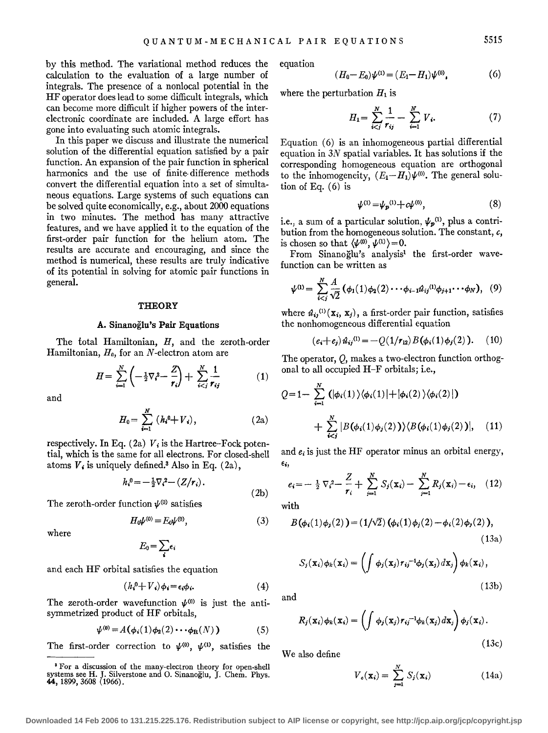by this method. The variational method reduces the calculation to the evaluation of a large number of integrals. The presence of a nonlocal potential in the HF operator does lead to some difficult integrals, which can become more difficult if higher powers of the interelectronic coordinate are included. A large effort has gone into evaluating such atomic integrals.

In this paper we discuss and illustrate the numerical solution of the differential equation satisfied by a pair function. An expansion of the pair function in spherical harmonics and the use of finite-difference methods convert the differential equation into a set of simultaneous equations. Large systems of such equations can be solved quite economically, e.g., about 2000 equations in two minutes. The method has many attractive features, and we have applied it to the equation of the first-order pair function for the helium atom. The results are accurate and encouraging, and since the method is numerical, these results are truly indicative of its potential in solving for atomic pair functions in general.

#### **THEORY**

#### A. Sinanoglu's Pair Equations

The total Hamiltonian, H, and the zeroth-order Hamiltonian,  $H_0$ , for an N-electron atom are

$$
H = \sum_{i=1}^{N} \left( -\frac{1}{2} \nabla_i^2 - \frac{Z}{r_i} \right) + \sum_{i < j}^{N} \frac{1}{r_{ij}} \tag{1}
$$

and

$$
H_0 = \sum_{i=1}^{N} (h_i^0 + V_i), \qquad (2a)
$$

respectively. In Eq.  $(2a)$   $V_i$  is the Hartree-Fock potential, which is the same for all electrons. For closed-shell and  $e_i$  is just the HF operator minus an orbital energy, atoms  $V_i$  is uniquely defined.<sup>3</sup> Also in Eq. (2a),  $\epsilon_i$ ,

$$
h_i^0 = -\frac{1}{2}\nabla_i^2 - (Z/r_i).
$$

The zeroth-order function  $\psi^{(0)}$  satisfies

$$
H_0\psi^{(0)} = E_0\psi^{(0)},\tag{3}
$$

where

$$
E_0 = \sum_i \epsilon_i
$$

and each HF orbital satisfies the equation

$$
(h_i^0 + V_i)\phi_i = \epsilon_i \phi_i. \tag{4}
$$

The zeroth-order wavefunction  $\psi^{(0)}$  is just the antisymmetrized product of HF orbitals,

$$
\psi^{(0)} = A(\phi_i(1)\phi_2(2)\cdots\phi_R(N)) \tag{5}
$$

The first-order correction to  $\psi^{(0)}$ ,  $\psi^{(1)}$ , satisfies the

equation

$$
(6) \quad H_0 - E_0 \rangle \psi^{(1)} = (E_1 - H_1) \psi^{(0)} \,, \tag{6}
$$

where the perturbation  $H_1$  is

 $\overline{(\}$ 

$$
H_1 = \sum_{i < j}^{N} \frac{1}{r_{ij}} - \sum_{i=1}^{N} V_i. \tag{7}
$$

Equation (6) is an inhomogeneous partial differential equation in *3N* spatial variables. It has solutions if the corresponding homogeneous equation are orthogonal to the inhomogeneity,  $(E_1-H_1)\psi^{(0)}$ . The general solution of Eq. (6) is

$$
\psi^{(1)} = \psi_p^{(1)} + c\psi^{(0)},\tag{8}
$$

i.e., a sum of a particular solution,  $\psi_p^{(1)}$ , plus a contribution from the homogeneous solution. The constant, *c,*  is chosen so that  $\langle \psi^{(0)}, \psi^{(1)} \rangle = 0$ .

From Sinanoğlu's analysis<sup>1</sup> the first-order wavefunction can be written as

$$
\psi^{(1)} = \sum_{i
$$

where  $\hat{u}_{ij}^{(1)}(\mathbf{x}_i, \mathbf{x}_j)$ , a first-order pair function, satisfies the nonhomogeneous differential equation

$$
(e_i+e_j)\hat{u}_{ij}^{(1)} = -Q(1/r_{12})B(\phi_i(1)\phi_j(2)).
$$
 (10)

The operator, Q, makes a two-electron function orthogonal to all occupied H-F orbitals; i.e.,

$$
Q=1-\sum_{i=1}^{N} (|\phi_i(1)\rangle\langle\phi_i(1)|+|\phi_i(2)\rangle\langle\phi_i(2)|)
$$
  
+ 
$$
\sum_{i (11)
$$

$$
e_i = -\frac{1}{2}\nabla_i^2 - \frac{Z}{r_i} + \sum_{j=1}^N S_j(\mathbf{x}_i) - \sum_{j=1}^N R_j(\mathbf{x}_j) - \epsilon_i, \quad (12)
$$

with

(2b)

$$
B(\phi_i(1)\phi_j(2)) = (1/\sqrt{2}) (\phi_i(1)\phi_j(2) - \phi_i(2)\phi_j(2)),
$$
\n(13a)

$$
S_j(\mathbf{x}_i)\phi_k(\mathbf{x}_i) = \left(\int \phi_j(\mathbf{x}_j) r_{ij}^{-1} \phi_j(\mathbf{x}_j) d\mathbf{x}_j\right) \phi_k(\mathbf{x}_i),
$$
\n(13b)

and

$$
R_j(\mathbf{x}_i)\phi_k(\mathbf{x}_i) = \left(\int \phi_j(\mathbf{x}_j) r_{ij}^{-1} \phi_k(\mathbf{x}_j) d\mathbf{x}_j\right) \phi_j(\mathbf{x}_i).
$$
\n(13c)

We also define

$$
V_c(\mathbf{x}_i) = \sum_{j=1}^N S_j(\mathbf{x}_i)
$$
 (14a)

<sup>3</sup> For a discussion of the many-electron theory for open-shell systems see H. J. Silverstone and O. Sinanoglu, J. Chem. Phys.<br>44, 1899, 3608 (1966).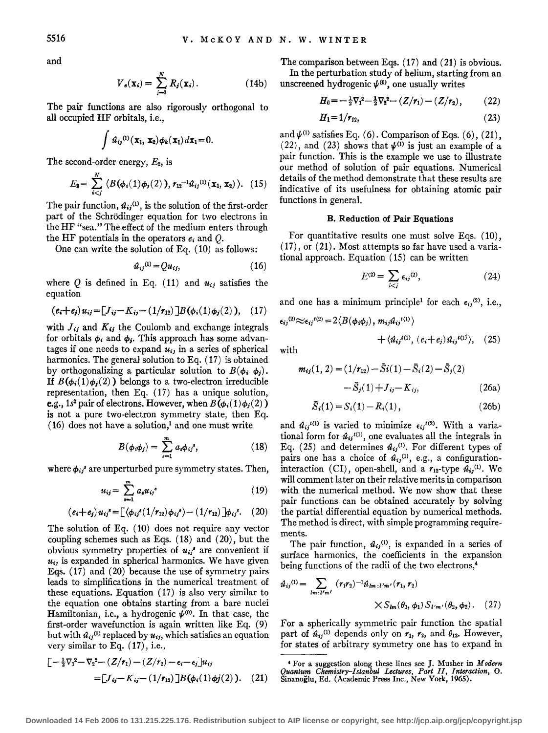and

$$
V_e(\mathbf{x}_i) = \sum_{j=1}^N R_j(\mathbf{x}_i). \tag{14b}
$$

The pair functions are also rigorously orthogonal to all occupied HF orbitals, i.e.,

$$
\int \hat{\mathbf{\boldsymbol{\mathcal{u}}}}_{ij}^{(1)}(\mathbf{x}_1, \mathbf{x}_2) \phi_k(\mathbf{x}_1) d\mathbf{x}_1 = 0.
$$

The second-order energy,  $E_2$ , is

$$
E_2 = \sum_{i
$$

The pair function,  $\hat{u}_{ij}^{(1)}$ , is the solution of the first-order part of the Schrödinger equation for two electrons in the HF "sea." The effect of the medium enters through the HF potentials in the operators *e;* and Q.

One can write the solution of Eq. (10) as follows:

$$
\hat{u}_{ij}^{(1)} = Qu_{ij},\tag{16}
$$

where  $Q$  is defined in Eq. (11) and  $u_{ij}$  satisfies the equation

$$
(e_i+e_j)u_{ij}=[J_{ij}-K_{ij}-(1/r_{12})]B(\phi_i(1)\phi_j(2)), (17)
$$

with  $f_{ij}$  and  $K_{ij}$  the Coulomb and exchange integrals for orbitals  $\phi_i$  and  $\phi_j$ . This approach has some advantages if one needs to expand  $u_{ij}$  in a series of spherical harmonics. The general solution to Eq. ( 17) is obtained by orthogonalizing a particular solution to  $B(\phi_i, \phi_j)$ . If  $B(\phi_i(1)\phi_i(2))$  belongs to a two-electron irreducible representation, then Eq. (17) has a unique solution, e.g., 1s<sup>2</sup> pair of electrons. However, when  $B(\phi_i(1)\phi_i(2))$ is not a pure two-electron symmetry state, then Eq.  $(16)$  does not have a solution,<sup>1</sup> and one must write

$$
B(\phi_i \phi_j) = \sum_{s=1}^m a_s \phi_{ij}^s, \qquad (18)
$$

where  $\phi_{ii}$ <sup>3</sup> are unperturbed pure symmetry states. Then,

$$
u_{ij} = \sum_{s=1}^{m} a_s u_{ij}^s \qquad (19)
$$

$$
(e_i+e_j)u_{ij} = \left[\langle \phi_{ij}{}^s(1/\tau_{12})\phi_{ij}{}^s\rangle - (1/\tau_{12})\right]\phi_{ij}{}^s. \quad (20)
$$

The solution of Eq. (10) does not require any vector coupling schemes such as Eqs. (18) and (20), but the obvious symmetry properties of  $u_{ij}$ <sup>*a*</sup> are convenient if  $u_{ij}$  is expanded in spherical harmonics. We have given Eqs. (17) and (20) because the use of symmetry pairs leads to simplifications in the numerical treatment of these equations. Equation ( 17) is also very similar to the equation one obtains starting from a bare nuclei Hamiltonian, i.e., a hydrogenic  $\psi^{(0)}$ . In that case, the first-order wavefunction is again written like Eq. (9) but with  $\hat{u}_{ij}^{(1)}$  replaced by  $u_{ij}$ , which satisfies an equation very similar to Eq. (17), i.e.,

$$
\begin{aligned} \left[ -\frac{1}{2} \nabla_1^2 - \nabla_2^2 - (Z/r_1) - (Z/r_2) - \epsilon_i - \epsilon_j \right] u_{ij} \\ = \left[ J_{ij} - K_{ij} - (1/r_{12}) \right] B(\phi_i(1)\phi_j(2)). \end{aligned} \tag{21}
$$

The comparison between Eqs. (17) and (21) is obvious.

In the perturbation study of helium, starting from an unscreened hydrogenic  $\psi^{(0)}$ , one usually writes

$$
H_0 = -\frac{1}{2}\nabla_1^2 - \frac{1}{2}\nabla_2^2 - (Z/r_1) - (Z/r_2), \qquad (22)
$$

$$
H_1 = 1/r_{12}, \t\t(23)
$$

and  $\psi^{(1)}$  satisfies Eq. (6). Comparison of Eqs. (6), (21), (22), and (23) shows that  $\psi^{(i)}$  is just an example of a pair function. This is the example we use to illustrate our method of solution of pair equations. Numerical details of the method demonstrate that these results are indicative of its usefulness for obtaining atomic pair functions in general.

# B. Reduction of Pair Equations

For quantitative results one must solve Eqs. (10), (17), or (21). Most attempts so far have used a variational approach. Equation (15) can be written

$$
E^{(2)} = \sum_{i < j} \epsilon_{ij}^{(2)},\tag{24}
$$

and one has a minimum principle<sup>1</sup> for each  $\epsilon_{ij}^{(2)}$ , i.e.,

$$
\epsilon_{ij}^{(2)} \approx \epsilon_{ij}^{(2)} = 2 \langle B(\phi_i \phi_j), m_{ij} \hat{u}_{ij}^{(1)} \rangle + \langle \hat{u}_{ij}^{(1)}, (e_i + e_j) \hat{u}_{ij}^{(1)} \rangle, (25)
$$

with

$$
m_{ij}(1, 2) = (1/r_{12}) - \bar{S}i(1) - \bar{S}_i(2) - \bar{S}_j(2)
$$

$$
- \bar{S}_j(1) + J_{ij} - K_{ij}, \qquad (26a)
$$

$$
\bar{S}_i(1) = S_i(1) - R_i(1), \qquad (26b)
$$

and  $\hat{u}_{ij}^{(1)}$  is varied to minimize  $\epsilon_{ij}^{(2)}$ . With a variational form for  $\hat{u}_{ij}^{(1)}$ , one evaluates all the integrals in Eq. (25) and determines  $a_{ij}$ <sup>(1)</sup>. For different types of pairs one has a choice of  $\hat{u}_{ij}^{(1)}$ , e.g., a configurationinteraction (CI), open-shell, and a  $r_{12}$ -type  $\hat{u}_{ij}^{(1)}$ . We will comment later on their relative merits in comparison with the numerical method. We now show that these pair functions can be obtained accurately by solving the partial differential equation by numerical methods. The method is direct, with simple programming requirements.

The pair function,  $a_{ij}^{(1)}$ , is expanded in a series of surface harmonics, the coefficients in the expansion being functions of the radii of the two electrons,4

$$
\hat{u}_{ij}^{(1)} = \sum_{lm: l'm'} (r_1 r_2)^{-1} \hat{u}_{lm: l'm'}(r_1, r_2) \times S_{lm}(\theta_1, \phi_1) S_{l'm'}(\theta_2, \phi_2).
$$
 (27)

For a spherically symmetric pair function the spatial part of  $a_{ij}$ <sup>(1)</sup> depends only on  $r_1$ ,  $r_2$ , and  $\theta_{12}$ . However, for states of arbitrary symmetry one has to expand in

<sup>4</sup> For a suggestion along these lines see J. Musher in *Modern Quantum Chemistry-Istanbul Lectures, Part II, Interaction,* 0. Sinanoglu, Ed. (Academic Press Inc., New York, 1965).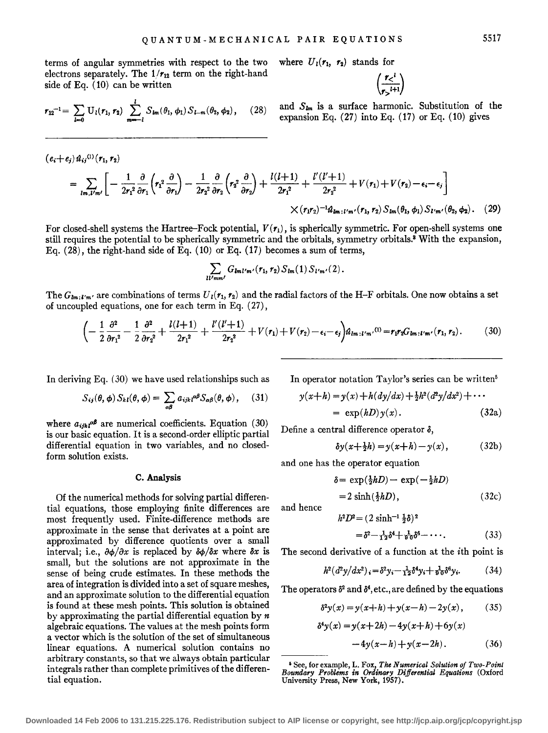terms of angular symmetries with respect to the two where  $U_1(r_1, r_2)$  stands for electrons separately. The  $1/r_{12}$  term on the right-hand side of Eq. ( 10) can be written

$$
r_{12}^{-1} = \sum_{l=0} U_l(r_1, r_2) \sum_{m=-l}^{l} S_{lm}(\theta_1, \phi_1) S_{l-m}(\theta_2, \phi_2), \quad (28)
$$

(28) and 
$$
S_{lm}
$$
 is a surface harmonic. Substitution of the expansion Eq. (27) into Eq. (17) or Eq. (10) gives

 $\left(\frac{r<^l}{r>^{l+1}}\right)$ 

$$
(e_i+e_j) \hat{u}_{ij}^{(1)}(r_1,r_2)
$$
\n
$$
= \sum_{lm,l'm'} \left[ -\frac{1}{2r_1^2} \frac{\partial}{\partial r_1} \left( r_1^2 \frac{\partial}{\partial r_1} \right) - \frac{1}{2r_2^2} \frac{\partial}{\partial r_2} \left( r_2^2 \frac{\partial}{\partial r_2} \right) + \frac{l(l+1)}{2r_1^2} + \frac{l'(l'+1)}{2r_2^2} + V(r_1) + V(r_2) - \epsilon_i - \epsilon_j \right]
$$
\n
$$
\times (r_1r_2)^{-1} \hat{u}_{lm;l'm'}(r_1,r_2) S_{lm}(\theta_1,\phi_1) S_{l'm'}(\theta_2,\phi_2). \quad (29)
$$

For closed-shell systems the Hartree-Fock potential,  $V(r_1)$ , is spherically symmetric. For open-shell systems one still requires the potential to be spherically symmetric and the orbitals, symmetry orbitals.<sup>8</sup> With the expansion, Eq.  $(28)$ , the right-hand side of Eq.  $(10)$  or Eq.  $(17)$  becomes a sum of terms,

$$
\sum_{ll'mm'} G_{lml'm'}(r_1,r_2) S_{lm}(1) S_{l'm'}(2).
$$

The  $G_{lm,l'm'}$  are combinations of terms  $U_l(r_1, r_2)$  and the radial factors of the H-F orbitals. One now obtains a set of uncoupled equations, one for each term in Eq. ( 27),

$$
\left(-\frac{1}{2}\frac{\partial^2}{\partial r_1^2} - \frac{1}{2}\frac{\partial^2}{\partial r_2^2} + \frac{l(l+1)}{2r_1^2} + \frac{l'(l'+1)}{2r_2^2} + V(r_1) + V(r_2) - \epsilon_i - \epsilon_j\right)u_{lm+l'm'}(0) = r_1r_2G_{lm;l'm'}(r_1, r_2).
$$
 (30)

In deriving Eq. (30) we have used relationships such as

$$
S_{ij}(\theta,\phi) S_{kl}(\theta,\phi) = \sum_{\alpha\beta} a_{ijk} \alpha^{\beta} S_{\alpha\beta}(\theta,\phi), \quad (31)
$$

where  $a_{ijk}a^j$  are numerical coefficients. Equation (30) is our basic equation. It is a second-order elliptic partial differential equation in two variables, and no closedform solution exists.

#### C. Analysis

Of the numerical methods for solving partial differential equations, those employing finite differences are most frequently used. Finite-difference methods are approximate in the sense that derivates at a point are approximated by difference quotients over a small interval; i.e.,  $\partial \phi / \partial x$  is replaced by  $\partial \phi / \partial x$  where  $\delta x$  is small, but the solutions are not approximate in the sense of being crude estimates. In these methods the area of integration is divided into a set of square meshes, and an approximate solution to the differential equation is found at these mesh points. This solution is obtained by approximating the partial differential equation by *n*  algebraic equations. The values at the mesh points form a vector which is the solution of the set of simultaneous linear equations. A numerical solution contains no arbitrary constants, so that we always obtain particular integrals rather than complete primitives of the differential equation.

In operator notation Taylor's series can be written<sup>5</sup>

$$
y(x+h) = y(x) + h(dy/dx) + \frac{1}{2}h^2(d^2y/dx^2) + \cdots
$$
  
=  $\exp(hD)y(x)$ . (32a)

Define a central difference operator *o,* 

$$
\delta y(x+\tfrac{1}{2}h) = y(x+h) - y(x), \qquad (32b)
$$

and one has the operator equation

$$
\delta = \exp(\frac{1}{2}hD) - \exp(-\frac{1}{2}hD)
$$
  
= 2 \sinh(\frac{1}{2}hD), \t(32c)

and hence

$$
h^2 D^2 = (2 \sinh^{-1} \frac{1}{2} \delta)^2
$$
  
=  $\delta^2 - \frac{1}{12} \delta^4 + \frac{1}{90} \delta^6 - \cdots$ . (33)

The second derivative of a function at the ith point is

$$
h^{2}(d^{2}y/dx^{2})_{i} = \delta^{2}y_{i} - \frac{1}{12}\delta^{4}y_{i} + \frac{1}{90}\delta^{6}y_{i}.
$$
 (34)

The operators  $\delta^2$  and  $\delta^4$ , etc., are defined by the equations

$$
\delta^2 y(x) = y(x+h) + y(x-h) - 2y(x), \quad (35)
$$

$$
\delta^{4}y(x) = y(x+2h) - 4y(x+h) + 6y(x)
$$

$$
-4y(x-h) + y(x-2h).
$$
 (36)

<sup>&#</sup>x27;See, for example, L. Fox, *The Numerical Solution of Two-Point Boundary Problems in Ordinary Differential Equations* (Oxford University Press, New York, 1957).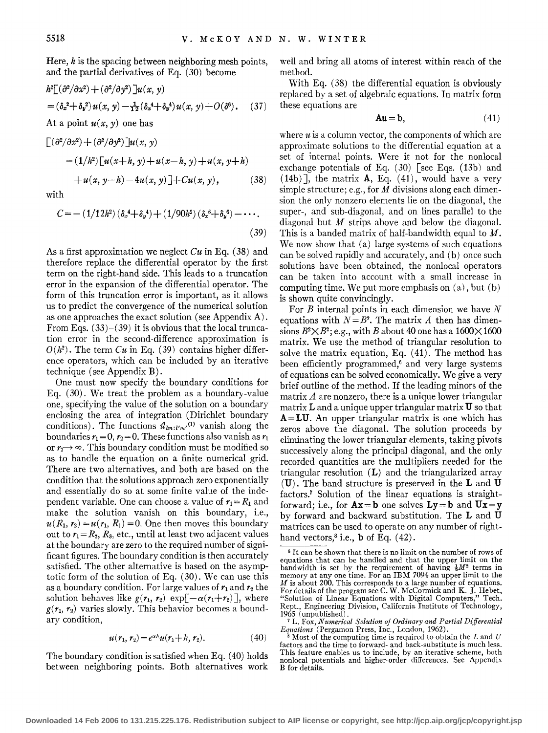Here,  $h$  is the spacing between neighboring mesh points, and the partial derivatives of Eq. (30) become

$$
h^{2}[(\partial^{2}/\partial x^{2}) + (\partial^{2}/\partial y^{2})]u(x, y)
$$
  
=  $(\delta_{x}^{2} + \delta_{y}^{2})u(x, y) - \frac{1}{12}(\delta_{x}^{4} + \delta_{y}^{4})u(x, y) + O(\delta^{6}).$  (37)

At a point  $u(x, y)$  one has

jax2) + (a*<sup>2</sup>*

$$
\begin{aligned} \left[ \left( \frac{\partial^2}{\partial x^2} \right) + \left( \frac{\partial^2}{\partial y^2} \right) \right] u(x, y) \\ &= (1/h^2) \left[ u(x+h, y) + u(x-h, y) + u(x, y+h) \right. \\ &\quad \left. + u(x, y-h) - 4u(x, y) \right] + Cu(x, y), \end{aligned} \tag{38}
$$

with

$$
C = -(1/12h^2)(\delta_x^4 + \delta_y^4) + (1/90h^2)(\delta_x^6 + \delta_y^6) - \cdots
$$
\n(39)

As a first approximation we neglect *Cu* in Eq. (38) and therefore replace the differential operator by the first term on the right-hand side. This leads to a truncation error in the expansion of the differential operator. The form of this truncation error is important, as it allows us to predict the convergence of the numerical solution as one approaches the exact solution (see Appendix A). From Eqs.  $(33)$ - $(39)$  it is obvious that the local truncation error in the second-difference approximation is  $O(h^2)$ . The term *Cu* in Eq. (39) contains higher difference operators, which can be included by an iterative technique (see Appendix B) .

One must now specify the boundary conditions for Eq. (30). We treat the problem as a boundary-value one, specifying the value of the solution on a boundary enclosing the area of integration (Dirichlet boundary conditions). The functions  $\hat{u}_{lm:l'm'}^{(1)}$  vanish along the boundaries  $r_1 = 0$ ,  $r_2 = 0$ . These functions also vanish as  $r_1$ or  $r_2 \rightarrow \infty$ . This boundary condition must be modified so as to handle the equation on a finite numerical grid. There are two alternatives, and both are based on the condition that the solutions approach zero exponentially and essentially do so at some finite value of the independent variable. One can choose a value of  $r_1 = R_1$  and make the solution vanish on this boundary, i.e.,  $u(R_1, r_2) = u(r_1, R_1) = 0$ . One then moves this boundary out to  $r_1 = R_2$ ,  $R_3$ , etc., until at least two adjacent values at the boundary are zero to the required number of significant figures. The boundary condition is then accurately satisfied. The other alternative is based on the asymptotic form of the solution of Eq. ( 30) . We can use this as a boundary condition. For large values of  $r_1$  and  $r_2$  the solution behaves like  $g(r_1, r_2)$  exp $\left[\frac{-\alpha(r_1+r_2)}{r_2}\right]$ , where  $g(r_1, r_2)$  varies slowly. This behavior becomes a boundary condition,

$$
u(r_1, r_2) = e^{\alpha h} u(r_1 + h, r_2). \tag{40}
$$

The boundary condition is satisfied when Eq. (40) holds between neighboring points. Both alternatives work well and bring all atoms of interest within reach of the method.

With Eq. (38) the differential equation is obviously replaced by a set of algebraic equations. In matrix form these equations are

$$
Au = b,\t(41)
$$

where  $u$  is a column vector, the components of which are approximate solutions to the differential equation at a set of internal points. Were it not for the nonlocal exchange potentials of Eq.  $(30)$  [see Eqs.  $(13b)$  and  $(14b)$ ], the matrix **A**, Eq.  $(41)$ , would have a very simple structure; e.g., for  $M$  divisions along each dimension the only nonzero elements lie on the diagonal, the super-, and sub-diagonal, and on lines parallel to the diagonal but  $M$  strips above and below the diagonal. This is a banded matrix of half-bandwidth equal to  $M$ . We now show that (a) large systems of such equations can be solved rapidly and accurately, and (b) once such solutions have been obtained, the nonlocal operators can be taken into account with a small increase in computing time. We put more emphasis on (a), but (b) is shown quite convincingly.

For  $B$  internal points in each dimension we have  $N$ equations with  $N = B^2$ . The matrix *A* then has dimensions  $B^2 \times B^2$ ; e.g., with B about 40 one has a 1600 $\times$ 1600 matrix. We use the method of triangular resolution to solve the matrix equation, Eq. (41). The method has been efficiently programmed,<sup>6</sup> and very large systems of equations can be solved economically. We give a very brief outline of the method. If the leading minors of the matrix *A* are nonzero, there is a unique lower triangular matrix Land a unique upper triangular matrix **U** so that **A=LU.** An upper triangular matrix is one which has zeros above the diagonal. The solution proceeds by eliminating the lower triangular elements, taking pivots successively along the principal diagonal, and the only recorded quantities are the multipliers needed for the triangular resolution **(L)** and the triangularized array **(U)** . The band structure is preserved in the **L** and **U**  factors.7 Solution of the linear equations is straightforward; i.e., for  $Ax = b$  one solves  $Ly = b$  and  $Ux = y$ by forward and backward substitution. The **L** and **U**  matrices can be used to operate on any number of righthand vectors,8 i.e., **b** of Eq. ( 42).

<sup>6</sup>It can be shown that there is no limit on the number of rows of equations that can be handled and that the upper limit on the bandwidth is set by the requirement of having  $\frac{1}{2}M^2$  terms in memory at any one time. For an IBM 7094 an upper limit to the *M* is about 200. This corresponds to a large number of equations.<br>For details of the program see C. W. McCormick and K. J. Hebet,<br>"Solution of Linear Equations with Digital Computers," Tech. Rept., Engineering Division, California Institute of Technology, 1965 (unpublished).

<sup>1965 (</sup>unpublished) . . . . . 7 L. Fox, *Numerical Solution of Ordznary and Partzal Differentzal Equations* (Pergamon Press, Inc., London, 1962) ..

 $^8$  Most of the computing time is required to obtain the  $L$  and  $U$ factors and the time to forward- and back-substitute is much less. This feature enables us to include, by an iterative scheme, both nonlocal potentials and higher-order differences. See Appendix B for details.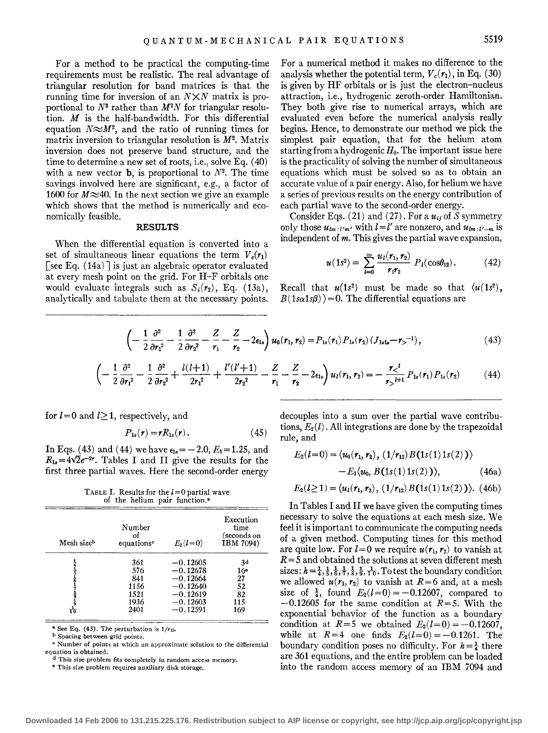For a method to be practical the computing-time requirements must be realistic. The real advantage of triangular resolution for band matrices is that the running time for inversion of an  $N \times N$  matrix is proportional to  $N^3$  rather than  $M^2N$  for triangular resolution. *M* is the half-bandwidth. For this differential equation  $N \approx M^2$ , and the ratio of running times for matrix inversion to triangular resolution is *M2•* Matrix inversion does not preserve band structure, and the time to determine a new set of roots, i.e., solve Eq. ( 40) with a new vector **b**, is proportional to  $N^2$ . The time savings involved here are significant, e.g., a factor of 1600 for  $M \approx 40$ . In the next section we give an example which shows that the method is numerically and economically feasible.

#### **RESULTS**

When the differential equation is converted into a set of simultaneous linear equations the term  $V_c(r_1)$ [see Eq.  $(14a)$ ] is just an algebraic operator evaluated at every mesh point on the grid. For H-F orbitals one would evaluate integrals such as  $S_i(r_2)$ , Eq. (13a), analytically and tabulate them at the necessary points. For a numerical method it makes no difference to the analysis whether the potential term,  $V_c(\mathbf{r}_1)$ , in Eq. (30) is given by HF orbitals or is just the electron-nucleus attraction, i.e., hydrogenic zeroth-order Hamiltonian. They both give rise to numerical arrays, which are evaluated even before the numerical analysis really begins. Hence, to demonstrate our method we pick the simplest pair equation, that for the helium atom starting from a hydrogenic  $H_0$ . The important issue here is the practicality of solving the number of simultaneous equations which must be solved so as to obtain an accurate value of a pair energy. Also, for helium we have a series of previous results on the energy contribution of each partial wave to the second-order energy.

Consider Eqs. (21) and (27). For a  $u_{ij}$  of S symmetry only those  $u_{lm: l'm'}$  with  $l=l'$  are nonzero, and  $u_{lm: l'-m}$  is independent of *m.* This gives the partial wave expansion,

$$
u(1s^{2}) = \sum_{l=0}^{\infty} \frac{u_{l}(r_{1}, r_{2})}{r_{1}r_{2}} P_{l}(\cos \theta_{12}). \qquad (42)
$$

Recall that  $u(1s^2)$  must be made so that  $\langle u(1s^2), \rangle$  $B(1s\alpha1s\beta)$  = 0. The differential equations are

$$
\left(-\frac{1}{2}\frac{\partial^2}{\partial r_1^2}-\frac{1}{2}\frac{\partial^2}{\partial r_2^2}-\frac{Z}{r_1}-\frac{Z}{r_2}-2\epsilon_{1s}\right)u_0(r_1,r_2)=P_{1s}(r_1)P_{1s}(r_2)\left(J_{1s1s}-r_2^{-1}\right),\tag{43}
$$

$$
\left(-\frac{1}{2}\frac{\partial^2}{\partial r_1^2}-\frac{1}{2}\frac{\partial^2}{\partial r_2^2}+\frac{l(l+1)}{2r_1^2}+\frac{l'(l'+1)}{2r_2^2}-\frac{Z}{r_1}-\frac{Z}{r_2}-2\epsilon_{1s}\right)u_l(r_1,r_2)=-\frac{r_<^l}{r_2^{l+1}}P_{1s}(r_1)P_{1s}(r_2)
$$
(44)

for  $l=0$  and  $l\geq 1$ , respectively, and

$$
P_{1s}(r) = rR_{1s}(r). \tag{45}
$$

In Eqs. (43) and (44) we have  $\epsilon_{18} = -2.0, E_1 = 1.25,$  and  $R_{1*}=4\sqrt{2}e^{-2r}$ . Tables I and II give the results for the first three partial waves. Here the second-order energy

TABLE I. Results for the  $l=0$  partial wave of the helium pair function.<sup>8</sup>

| Mesh sizeb | Number<br>of<br>equations <sup>e</sup> | $E_2(l=0)$ | Execution<br>time<br>(seconds on<br>IBM 7094) |
|------------|----------------------------------------|------------|-----------------------------------------------|
|            | 361                                    | $-0.12605$ | 3 <sub>d</sub>                                |
|            | 576                                    | $-0.12678$ | 16 <sup>°</sup>                               |
|            | 841                                    | $-0.12664$ | 27                                            |
|            | 1156                                   | $-0.12640$ | 52                                            |
|            | 1521                                   | $-0.12619$ | 82                                            |
|            | 1936                                   | $-0.12603$ | 115                                           |
|            | 2401                                   | $-0.12591$ | 169                                           |
|            |                                        |            |                                               |

 $*$  See Eq. (43). The perturbation is  $1/r_{12}$ .

b Spacing between grid points.

**c Number of points at which an approximate solution to the differential equation is obtained.** 

**d This size problem fits completely in random access memory.** 

**e This size problem requires auxiliary disk storage.** 

decouples into a sum over the partial wave contributions,  $E_2(l)$ . All integrations are done by the trapezoidal rule, and

$$
E_2(l=0) = \langle u_0(r_1, r_2), (1/r_{12}) B(1s(1) 1s(2)) \rangle - E_1 \langle u_0, B(1s(1) 1s(2)) \rangle, \qquad (46a)
$$

$$
E_2(l\geq 1) = \langle u_1(r_1, r_2), (1/r_{12}) B(1s(1) 1s(2)) \rangle. (46b)
$$

In Tables I and II we have given the computing times necessary to solve the equations at each mesh size. We feel it is important to communicate the computing needs of a given method. Computing times for this method are quite low. For  $l=0$  we require  $u(r_1, r_2)$  to vanish at *R=5* and obtained the solutions at seven different mesh sizes:  $h=\frac{1}{4},\frac{1}{5},\frac{1}{6},\frac{1}{7},\frac{1}{8},\frac{1}{9},\frac{1}{10}$ . To test the boundary condition we allowed  $u(r_1, r_2)$  to vanish at  $R=6$  and, at a mesh size of  $\frac{1}{4}$ , found  $E_2(l=0) = -0.12607$ , compared to  $-0.12605$  for the same condition at  $R=5$ . With the exponential behavior of the function as a boundary condition at  $R=5$  we obtained  $E_2(l=0) = -0.12607$ , while at  $R=4$  one finds  $E_2(l=0) = -0.1261$ . The boundary condition poses no difficulty. For  $h=\frac{1}{4}$  there are 361 equations, and the entire problem can be loaded into the random access memory of an IBM 7094 and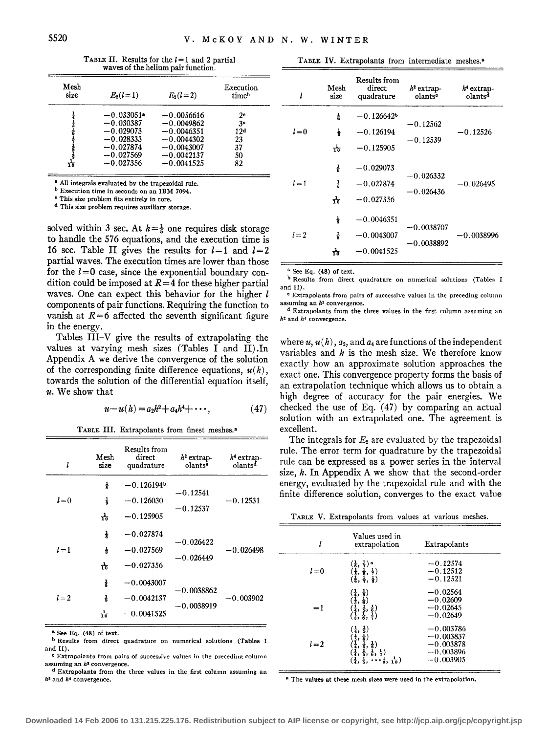TABLE II. Results for the  $l=1$  and 2 partial waves of the helium pair function.

| Mesh<br>size | $E_2(l=1)$   | $E_2(l=2)$   | Execution<br>timeb |
|--------------|--------------|--------------|--------------------|
|              | $-0.033051*$ | $-0.0056616$ | $2^{\circ}$        |
|              | $-0.030387$  | $-0.0049862$ | 3 <sup>e</sup>     |
|              | $-0.029073$  | $-0.0046351$ | 12ª                |
|              | $-0.028333$  | $-0.0044302$ | 23                 |
|              | $-0.027874$  | $-0.0043007$ | 37                 |
|              | $-0.027569$  | $-0.0042137$ | 50                 |
| ۲ò           | $-0.027356$  | $-0.0041525$ | 82                 |

<sup>8</sup> All integrals evaluated by the trapezoidal rule.

b Execution time in seconds on an IBM 7094. 0 This size problem fits entirely in core.

d This size problem requires auxiliary storage.

solved within 3 sec. At  $h = \frac{1}{5}$  one requires disk storage to handle the 576 equations, and the execution time is 16 sec. Table II gives the results for  $l = 1$  and  $l = 2$ partial waves. The execution times are lower than those for the  $l=0$  case, since the exponential boundary condition could be imposed at *R=4* for these higher partial waves. One can expect this behavior for the higher *l*  components of pair functions. Requiring the function to vanish at  $R=6$  affected the seventh significant figure in the energy.

Tables III-V give the results of extrapolating the values at varying mesh sizes (Tables I and II) .In Appendix A we derive the convergence of the solution of the corresponding finite difference equations,  $u(h)$ , towards the solution of the differential equation itself, *u.* We show that

$$
u - u(h) = a_2 h^2 + a_4 h^4 + \cdots, \qquad (47)
$$

TABLE III. Extrapolants from finest meshes.•

| ı     | Mesh<br>size | Results from<br>direct<br>quadrature | $h^2$ extrap-<br>olants <sup>®</sup> | $h4$ extrap-<br>olants <sup>d</sup> |
|-------|--------------|--------------------------------------|--------------------------------------|-------------------------------------|
|       | ᇂ            | $-0.126194b$                         | $-0.12541$                           |                                     |
| $l=0$ | 츻            | $-0.126030$                          | $-0.12537$                           | $-0.12531$                          |
|       | ᆠ            | $-0.125905$                          |                                      |                                     |
|       | ł            | $-0.027874$                          | $-0.026422$                          |                                     |
| $l=1$ | 충            | $-0.027569$                          | $-0.026449$                          | $-0.026498$                         |
|       | ᠊ᡶ           | $-0.027356$                          |                                      |                                     |
|       | 륯            | $-0.0043007$                         | $-0.0038862$                         |                                     |
| $l=2$ | ł            | $-0.0042137$                         | $-0.0038919$                         | $-0.003902$                         |
|       | ᠊ᠯ           | $-0.0041525$                         |                                      |                                     |

• See Eq. (48) of text.

b Results from direct quadrature on numerical solutions (Tables I and II).

**c Extrapolants from pairs of successive values in the preceding column assuming an** *hi* **convergence.** 

**d Extrapolants from the three values in the first column assuming an**  *h'* and *h•* convergence.

TABLE IV. Extrapolants from intermediate meshes.•

| l       | Mesh<br>size                         | Results from<br>direct<br>quadrature         | $h^2$ extrap-<br>olants <sup>o</sup> | $h^4$ extrap-<br>olants <sup>d</sup> |
|---------|--------------------------------------|----------------------------------------------|--------------------------------------|--------------------------------------|
| $l = 0$ | 긓<br>ł<br>ᆠ                          | $-0.126642b$<br>$-0.126194$<br>$-0.125905$   | $-0.12562$<br>$-0.12539$             | $-0.12526$                           |
| $l=1$   | $\frac{1}{6}$<br>$\frac{1}{R}$<br>᠊ᠯ | $-0.029073$<br>$-0.027874$<br>$-0.027356$    | $-0.026332$<br>$-0.026436$           | $-0.026495$                          |
| $l=2$   | 송<br>통<br>᠊ᠯ                         | $-0.0046351$<br>$-0.0043007$<br>$-0.0041525$ | $-0.0038707$<br>$-0.0038892$         | $-0.0038996$                         |

 $e^a$  See Eq. (48) of text.

b Results from direct quadrature on numerical solutions (Tables I and II).

" **Extrapolants from pairs of successive values in the preceding column assuming an h2 convergence.** 

d Extrapolants from the three values in the first column assuming an *h"* **and** *h4* **convergence.** 

where  $u, u(h), a_2,$  and  $a_4$  are functions of the independent variables and  $h$  is the mesh size. We therefore know exactly how an approximate solution approaches the exact one. This convergence property forms the basis of an extrapolation technique which allows us to obtain a high degree of accuracy for the pair energies. We checked the use of Eq.  $(47)$  by comparing an actual solution with an extrapolated one. The agreement is excellent.

The integrals for  $E_2$  are evaluated by the trapezoidal rule. The error term for quadrature by the trapezoidal rule can be expressed as a power series in the interval size,  $h$ . In Appendix A we show that the second-order energy, evaluated by the trapezoidal rule and with the finite difference solution, converges to the exact value

TABLE V. Extrapolants from values at various meshes.

| l     | Values used in<br>extrapolation                                                                                                                                                                                                                                                                               | Extrapolants                                                            |  |
|-------|---------------------------------------------------------------------------------------------------------------------------------------------------------------------------------------------------------------------------------------------------------------------------------------------------------------|-------------------------------------------------------------------------|--|
| $l=0$ | $\left(\frac{1}{6}, \frac{1}{7}\right)$ a<br>$\left(\frac{1}{5}, \frac{1}{6}, \frac{1}{7}\right)$<br>$\left(\frac{1}{6}, \frac{1}{7}, \frac{1}{8}\right)$                                                                                                                                                     | $-0.12574$<br>$-0.12512$<br>$-0.12521$                                  |  |
| $=1$  | $\begin{array}{c} \left(\frac{1}{4}, \frac{1}{5}\right) \\ \left(\frac{1}{5}, \frac{1}{6}\right) \\ \left(\frac{1}{4}, \frac{1}{5}, \frac{1}{6}\right) \\ \left(\frac{1}{5}, \frac{1}{6}, \frac{1}{7}\right) \end{array}$                                                                                     | $-0.02564$<br>$-0.02609$<br>$-0.02645$<br>$-0.02649$                    |  |
| $l=2$ | $\begin{array}{c} \left(\frac{1}{4}, \frac{1}{5}\right) \\ \left(\frac{1}{5}, \frac{1}{6}\right) \\ \left(\frac{1}{4}, \frac{1}{5}, \frac{1}{6}\right) \\ \left(\frac{1}{4}, \frac{1}{5}, \frac{1}{6}, \frac{1}{7}\right) \end{array}$<br>$(\frac{1}{4}, \frac{1}{5},$<br>$\cdots \frac{1}{9}, \frac{1}{10})$ | $-0.003786$<br>$-0.003837$<br>$-0.003878$<br>$-0.003896$<br>$-0.003905$ |  |

<sup>8</sup> The values at these mesh sizes were used in the extrapolation.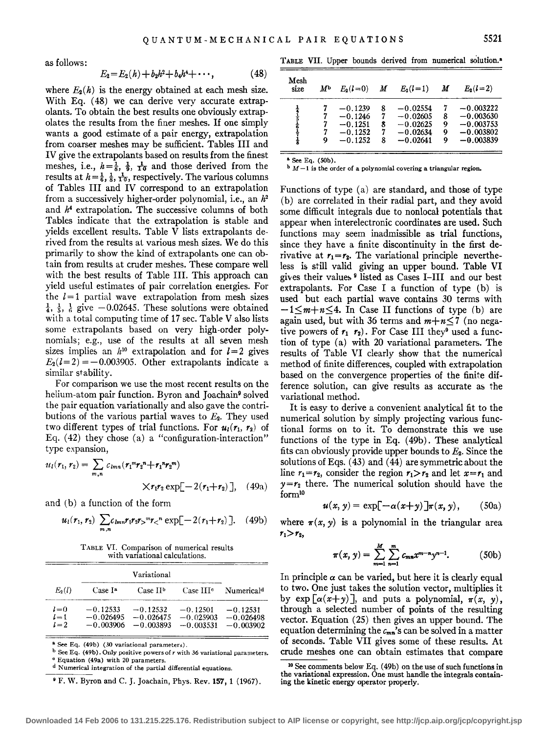as follows:

$$
E_2 = E_2(h) + b_2h^2 + b_4h^4 + \cdots, \qquad (48)
$$

where  $E_2(h)$  is the energy obtained at each mesh size. With Eq. (48) we can derive very accurate extrapolants. To obtain the best results one obviously extrapolates the results from the finer meshes. If one simply wants a good estimate of a pair energy, extrapolation from coarser meshes may be sufficient. Tables III and IV give the extrapolants based on results from the finest meshes, i.e.,  $h=\frac{1}{8}$ ,  $\frac{1}{9}$ ,  $\frac{1}{10}$  and those derived from the results at  $h=\frac{1}{6},\frac{1}{8},\frac{1}{10}$ , respectively. The various columns of Tables III and IV correspond to an extrapolation from a successively higher-order polynomial, i.e., an *h2*  and *h4* extrapolation. The successive columns of both Tables indicate that the extrapolation is stable and yields excellent results. Table V lists extrapolants derived from the results at various mesh sizes. We do this primarily to show the kind of extrapolants one can obtain from results at cruder meshes. These compare well with the best results of Table III. This approach can yield useful estimates of pair correlation energies. For the  $l = 1$  partial wave extrapolation from mesh sizes  $\frac{1}{4}$ ,  $\frac{1}{5}$ ,  $\frac{1}{6}$  give  $-0.02645$ . These solutions were obtained with a total computing time of 17 sec. Table V also lists some extrapolants based on very high-order polynomials; e.g., use of the results at all seven mesh sizes implies an  $h^{10}$  extrapolation and for  $l = 2$  gives  $E_2(l=2) = -0.003905$ . Other extrapolants indicate a similar stability.

For comparison we use the most recent results on the helium-atom pair function. Byron and Joachain<sup>9</sup> solved the pair equation variationally and also gave the contributions of the various partial waves to *E2.* They used two different types of trial functions. For  $u_1(r_1, r_2)$  of Eq.  $(42)$  they chose  $(a)$  a "configuration-interaction" type expansion,

$$
u_l(r_1, r_2) = \sum_{m,n} c_{lmn} (r_1^m r_2^n + r_1^n r_2^m)
$$

$$
\times r_1 r_2 \exp[-2(r_1 + r_2)], \quad (49a)
$$

and (b) a function of the form

$$
u_1(r_1, r_2) \sum_{m,n} c_{lmn} r_1 r_2 r_3^m r_5^n \exp[-2(r_1 + r_2)]. \quad (49b)
$$

TABLE VI. Comparison of numerical results with variational calculations.

|                             |                           | Variational                                         |                                          |                                          |
|-----------------------------|---------------------------|-----------------------------------------------------|------------------------------------------|------------------------------------------|
| $E_2(l)$                    | Case I <sup>a</sup>       | Case II <sup>b</sup>                                | Case HI <sup>e</sup>                     | Numerical <sup>d</sup>                   |
| $l = 0$<br>$l=1$<br>$l = 2$ | $-0.12533$<br>$-0.003906$ | $-0.12532$<br>$-0.026495 - 0.026475$<br>$-0.003893$ | $-0.12501$<br>$-0.025903$<br>$-0.003531$ | $-0.12531$<br>$-0.026498$<br>$-0.003902$ |

<sup>a</sup> See Eq. (49b) (30 variational parameters).

b See Eq. (49b). Only positive powersofr with *36* variational parameters. <sup>e</sup> Equation (49a) with 20 parameters

• F. W. Byron and C. J. Joachain, Phys. Rev. **157, 1** (1967).

TABLE VII. Upper bounds derived from numerical solution.<sup>8</sup>

| Mesh<br>size | М | $E_2(l=0)$ <i>M</i>                                           |                       | $E_2(l=1)$                                                         | $\boldsymbol{M}$ | $E_2(l=2)$                                                              |
|--------------|---|---------------------------------------------------------------|-----------------------|--------------------------------------------------------------------|------------------|-------------------------------------------------------------------------|
| 上生天          | 9 | $-0.1239$<br>$-0.1246$<br>$-0.1251$<br>$-0.1252$<br>$-0.1252$ | 8<br>7<br>8<br>7<br>8 | $-0.02554$<br>$-0.02605$<br>$-0.02625$<br>$-0.02634$<br>$-0.02641$ | 8<br>9<br>9<br>0 | $-0.003222$<br>$-0.003630$<br>$-0.003753$<br>$-0.003802$<br>$-0.003839$ |

8 See Eq. (SOb).

 $M-1$  **is the order of a polynomial covering a triangular region.** 

Functions of type (a) are standard, and those of type (b) are correlated in their radial part, and they avoid some difficult integrals due to nonlocal potentials that appear when interelectronic coordinates are used. Such functions may seem inadmissible as trial functions, since they have a finite discontinuity in the first derivative at  $r_1 = r_2$ . The variational principle nevertheless is still valid giving an upper bound. Table VI gives their values<sup>9</sup> listed as Cases I-III and our best extrapolants. For Case I a function of type (b) is used but each partial wave contains 30 terms with  $-1\leq m+n\leq 4$ . In Case II functions of type (b) are again used, but with 36 terms and  $m+n\leq 7$  (no negative powers of  $r_1$ ,  $r_2$ ). For Case III they<sup>9</sup> used a function of type (a) with 20 variational parameters. The results of Table VI clearly show that the numerical method of finite differences, coupled with extrapolation based on the convergence properties of the finite difference solution, can give results as accurate as the variational method.

It is easy to derive a convenient analytical fit to the numerical solution by simply projecting various functional forms on to it. To demonstrate this we use functions of the type in Eq. ( 49b) . These analytical fits can obviously provide upper bounds to *E2.* Since the solutions of Eqs. ( 43) and ( 44) are symmetric about the line  $r_1 = r_2$ , consider the region  $r_1 > r_2$  and let  $x = r_1$  and  $y = r_2$  there. The numerical solution should have the form10

$$
u(x, y) = \exp[-\alpha(x+y)]\pi(x, y), \qquad (50a)
$$

where  $\pi(x, y)$  is a polynomial in the triangular area  $r_1>r_2$ ,

$$
\pi(x, y) = \sum_{m=1}^{M} \sum_{n=1}^{m} c_{mn} x^{m-n} y^{n-1}.
$$
 (50b)

In principle  $\alpha$  can be varied, but here it is clearly equal to two. One just takes the solution vector, multiplies it by  $\exp\left[\alpha(x+y)\right]$ , and puts a polynomial,  $\pi(x, y)$ , through a selected number of points of the resulting vector. Equation (25) then gives an upper bound. The equation determining the *Cmn's* can be solved in a matter of seconds. Table VII gives some of these results. At crude meshes one can obtain estimates that compare

d Numerical integration of the partial differential equations.

<sup>10</sup> See comments below Eq. ( 49b) on the use of such functions in the variational expression. One must handle the integrals containing the kinetic energy operator properly.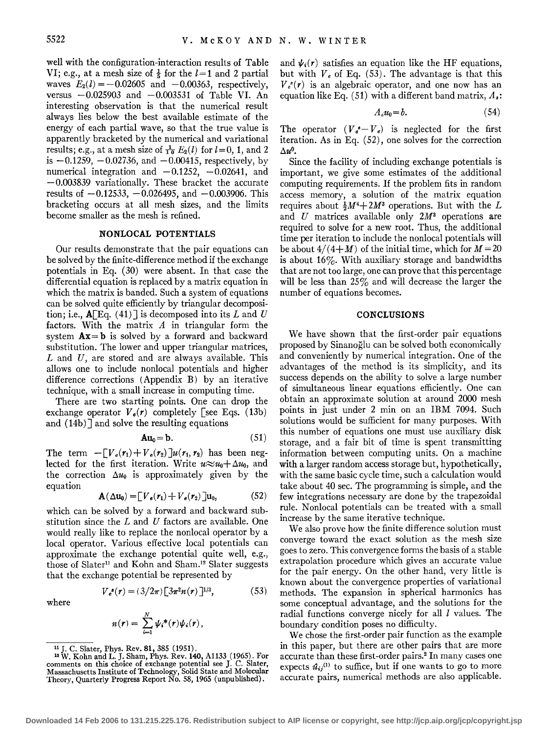well with the configuration-interaction results of Table VI; e.g., at a mesh size of  $\frac{1}{5}$  for the  $l=1$  and 2 partial waves  $E_2(l) = -0.02605$  and  $-0.00363$ , respectively, versus  $-0.025903$  and  $-0.003531$  of Table VI. An interesting observation is that the numerical result always lies below the best available estimate of the energy of each partial wave, so that the true value is apparently bracketed by the numerical and variational results; e.g., at a mesh size of  $\frac{1}{10} E_2(l)$  for  $l=0, 1$ , and 2 is  $-0.1259, -0.02736,$  and  $-0.00415$ , respectively, by numerical integration and  $-0.1252$ ,  $-0.02641$ , and  $-0.003839$  variationally. These bracket the accurate results of  $-0.12533$ ,  $-0.026495$ , and  $-0.003906$ . This bracketing occurs at all mesh sizes, and the limits become smaller as the mesh is refined.

# **NONLOCAL POTENTIALS**

Our results demonstrate that the pair equations can be solved by the finite-difference method if the exchange potentials in Eq. (30) were absent. In that case the differential equation is replaced by a matrix equation in which the matrix is banded. Such a system of equations can be solved quite efficiently by triangular decomposition; i.e.,  $\mathbf{A}$ [Eq. (41)] is decomposed into its L and U factors. With the matrix *A* in triangular form the system **Ax= b** is solved by a forward and backward substitution. The lower and upper triangular matrices, *L* and *U,* are stored and are always available. This allows one to include nonlocal potentials and higher difference corrections (Appendix B) by an iterative technique, with a small increase in computing time.

There are two starting points. One can drop the exchange operator  $V_e(r)$  completely [see Eqs. (13b) and  $(14b)$ ] and solve the resulting equations

$$
Au_0 = b. \t\t(51)
$$

The term  $-[V_{\epsilon}(r_1) + V_{\epsilon}(r_2)]u(r_1, r_2)$  has been neglected for the first iteration. Write  $u \approx u_0 + \Delta u_0$ , and the correction  $\Delta u_0$  is approximately given by the equation

$$
\mathbf{A}(\Delta \mathbf{u}_0) = \left[ V_{\epsilon}(\mathbf{r}_1) + V_{\epsilon}(\mathbf{r}_2) \right] \mathbf{u}_0, \tag{52}
$$

which can be solved by a forward and backward substitution since the *L* and *U* factors are available. One would really like to replace the nonlocal operator by a local operator. Various effective local potentials can approximate the exchange potential quite well, e.g., those of Slater<sup>11</sup> and Kohn and Sham.<sup>12</sup> Slater suggests that the exchange potential be represented by

$$
V_e^{s}(r) = (3/2\pi) \left[ 3\pi^2 n(r) \right]^{1/3},
$$
 (53)

where

$$
n(r) = \sum_{i=1}^N \psi_i^*(r)\psi_i(r),
$$

and  $\psi_i(r)$  satisfies an equation like the HF equations, but with  $V_e$  of Eq. (53). The advantage is that this  $V_{\epsilon}(r)$  is an algebraic operator, and one now has an equation like Eq. (51) with a different band matrix, *A.:* 

$$
A_{s}u_{0}=b.\t\t(54)
$$

The operator  $(V_{e}^{I} - V_{e})$  is neglected for the first iteration. As in Eq. (52), one solves for the correction  $\Delta u^0$ .

Since the facility of including exchange potentials is important, we give some estimates of the additional computing requirements. If the problem fits in random access memory, a solution of the matrix equation requires about  $\frac{1}{2}M^4 + 2M^3$  operations. But with the L and *U* matrices available only 2M<sup>3</sup> operations are required to solve for a new root. Thus, the additional time per iteration to include the nonlocal potentials will be about  $4/(4+M)$  of the initial time, which for  $M=20$ is about  $16\%$ . With auxiliary storage and bandwidths that are not too large, one can prove that this percentage will be less than 25% and will decrease the larger the number of equations becomes.

#### **CONCLUSIONS**

We have shown that the first-order pair equations proposed by Sinanoglu can be solved both economically and conveniently by numerical integration. One of the advantages of the method is its simplicity, and its success depends on the ability to solve a large number of simultaneous linear equations efficiently. One can obtain an approximate solution at around 2000 mesh points in just under 2 min on an IBM 7094. Such solutions would be sufficient for many purposes. With this number of equations one must use auxiliary disk storage, and a fair bit of time is spent transmitting information between computing units. On a machine with a larger random access storage but, hypothetically, with the same basic cycle time, such a calculation would take about 40 sec. The programming is simple, and the few integrations necessary are done by the trapezoidal rule. Nonlocal potentials can be treated with a small increase by the same iterative technique.

We also prove how the finite difference solution must converge toward the exact solution as the mesh size goes to zero. This convergence forms the basis of a stable extrapolation procedure which gives an accurate value for the pair energy. On the other hand, very little is known about the convergence properties of variational methods. The expansion in spherical harmonics has some conceptual advantage, and the solutions for the radial functions converge nicely for all  $l$  values. The boundary condition poses no difficulty.

We chose the first-order pair function as the example in this paper, but there are other pairs that are more accurate than these first-order pairs.2 In many cases one expects  $\hat{u}_{ij}^{(1)}$  to suffice, but if one wants to go to more accurate pairs, numerical methods are also applicable.

n J. C. Slater, Phys. Rev. 81, 385 (1951). 12 W. Kohn and L. J. Sham, Phys. Rev. **140,** A1133 (1965). For comments on this choice of exchange potential see J. C. Slater, Massachusetts Institute of Technology, Solid State and Molecular Theory, Quarterly Progress Report No. 58, 1965 (unpublished).